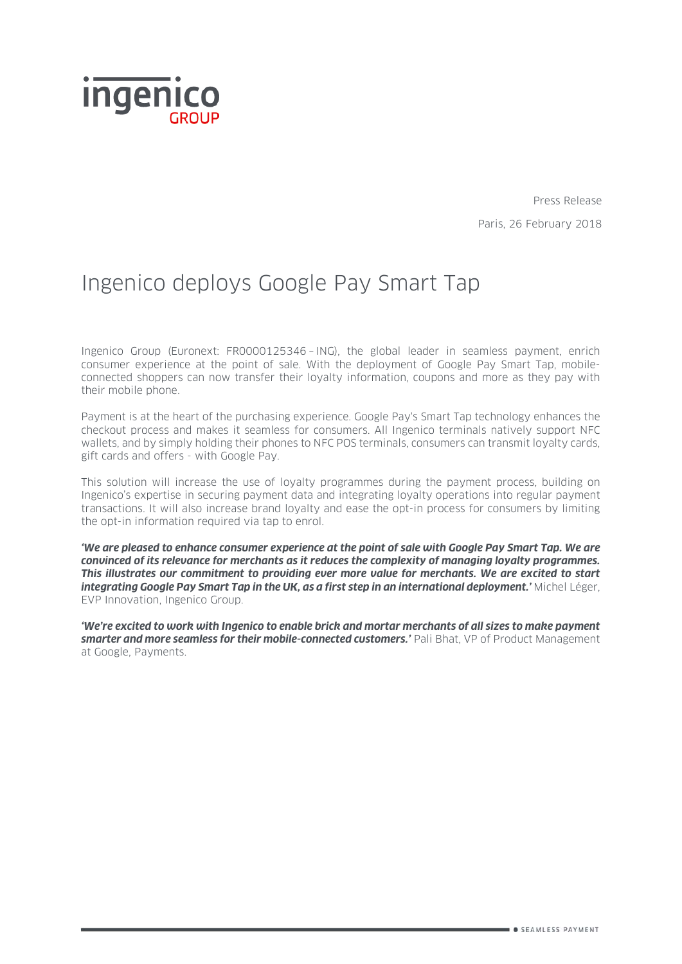

Press Release Paris, 26 February 2018

# Ingenico deploys Google Pay Smart Tap

Ingenico Group (Euronext: FR0000125346 – ING), the global leader in seamless payment, enrich consumer experience at the point of sale. With the deployment of Google Pay Smart Tap, mobileconnected shoppers can now transfer their loyalty information, coupons and more as they pay with their mobile phone.

Payment is at the heart of the purchasing experience. Google Pay's Smart Tap technology enhances the checkout process and makes it seamless for consumers. All Ingenico terminals natively support NFC wallets, and by simply holding their phones to NFC POS terminals, consumers can transmit loyalty cards, gift cards and offers - with Google Pay.

This solution will increase the use of loyalty programmes during the payment process, building on Ingenico's expertise in securing payment data and integrating loyalty operations into regular payment transactions. It will also increase brand loyalty and ease the opt-in process for consumers by limiting the opt-in information required via tap to enrol.

*'We are pleased to enhance consumer experience at the point of sale with Google Pay Smart Tap. We are convinced of its relevance for merchants as it reduces the complexity of managing loyalty programmes. This illustrates our commitment to providing ever more value for merchants. We are excited to start integrating Google Pay Smart Tap in the UK, as a first step in an international deployment.'* Michel Léger, EVP Innovation, Ingenico Group.

*'We're excited to work with Ingenico to enable brick and mortar merchants of all sizes to make payment smarter and more seamless for their mobile-connected customers.'* Pali Bhat, VP of Product Management at Google, Payments.